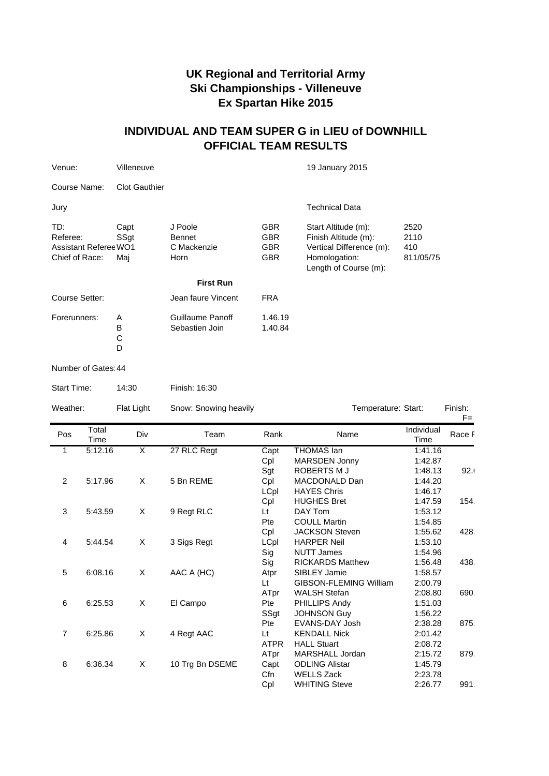## **UK Regional and Territorial Army Ski Championships - Villeneuve Ex Spartan Hike 2015**

## **INDIVIDUAL AND TEAM SUPER G in LIEU of DOWNHILL OFFICIAL TEAM RESULTS**

| Venue:                                                            | Villeneuve           |                                                 |                                                      | 19 January 2015                                                                                                   |                                  |  |
|-------------------------------------------------------------------|----------------------|-------------------------------------------------|------------------------------------------------------|-------------------------------------------------------------------------------------------------------------------|----------------------------------|--|
| Course Name:                                                      | <b>Clot Gauthier</b> |                                                 |                                                      |                                                                                                                   |                                  |  |
| Jury                                                              |                      |                                                 |                                                      | <b>Technical Data</b>                                                                                             |                                  |  |
| TD:<br>Referee:<br><b>Assistant Referee WO1</b><br>Chief of Race: | Capt<br>SSgt<br>Mai  | J Poole<br><b>Bennet</b><br>C Mackenzie<br>Horn | <b>GBR</b><br><b>GBR</b><br><b>GBR</b><br><b>GBR</b> | Start Altitude (m):<br>Finish Altitude (m):<br>Vertical Difference (m):<br>Homologation:<br>Length of Course (m): | 2520<br>2110<br>410<br>811/05/75 |  |
|                                                                   |                      | <b>First Run</b>                                |                                                      |                                                                                                                   |                                  |  |
| Course Setter:                                                    |                      | Jean faure Vincent                              | <b>FRA</b>                                           |                                                                                                                   |                                  |  |
| Forerunners:                                                      | A<br>B<br>C<br>D     | Guillaume Panoff<br>Sebastien Join              | 1.46.19<br>1.40.84                                   |                                                                                                                   |                                  |  |
| Number of Gates: 44                                               |                      |                                                 |                                                      |                                                                                                                   |                                  |  |
| Start Time:                                                       | 14:30                | Finish: 16:30                                   |                                                      |                                                                                                                   |                                  |  |

| Weather:       |               | Flat Light | Snow: Snowing heavily |             | Temperature: Start:           |                    | Finish:<br>$F =$ |
|----------------|---------------|------------|-----------------------|-------------|-------------------------------|--------------------|------------------|
| Pos            | Total<br>Time | Div        | Team                  | Rank        | Name                          | Individual<br>Time | Race F           |
| 1              | 5:12.16       | X          | 27 RLC Regt           | Capt        | <b>THOMAS lan</b>             | 1:41.16            |                  |
|                |               |            |                       | Cpl         | MARSDEN Jonny                 | 1:42.87            |                  |
|                |               |            |                       | Sgt         | ROBERTS M J                   | 1:48.13            | 92.1             |
| $\overline{2}$ | 5:17.96       | X          | 5 Bn REME             | Cpl         | MACDONALD Dan                 | 1:44.20            |                  |
|                |               |            |                       | LCpl        | <b>HAYES Chris</b>            | 1:46.17            |                  |
|                |               |            |                       | Cpl         | <b>HUGHES Bret</b>            | 1:47.59            | 154.             |
| 3              | 5:43.59       | X          | 9 Regt RLC            | Lt          | DAY Tom                       | 1:53.12            |                  |
|                |               |            |                       | Pte         | <b>COULL Martin</b>           | 1:54.85            |                  |
|                |               |            |                       | Cpl         | <b>JACKSON Steven</b>         | 1:55.62            | 428.             |
| $\overline{4}$ | 5:44.54       | X          | 3 Sigs Regt           | LCpl        | <b>HARPER Neil</b>            | 1:53.10            |                  |
|                |               |            |                       | Sig         | <b>NUTT James</b>             | 1:54.96            |                  |
|                |               |            |                       | Sig         | <b>RICKARDS Matthew</b>       | 1:56.48            | 438.             |
| 5              | 6:08.16       | X          | AAC A (HC)            | Atpr        | SIBLEY Jamie                  | 1:58.57            |                  |
|                |               |            |                       | Lt          | <b>GIBSON-FLEMING William</b> | 2:00.79            |                  |
|                |               |            |                       | ATpr        | <b>WALSH Stefan</b>           | 2:08.80            | 690.             |
| 6              | 6:25.53       | X          | El Campo              | Pte         | PHILLIPS Andy                 | 1:51.03            |                  |
|                |               |            |                       | SSgt        | <b>JOHNSON Guy</b>            | 1:56.22            |                  |
|                |               |            |                       | Pte         | EVANS-DAY Josh                | 2:38.28            | 875.             |
| $\overline{7}$ | 6:25.86       | X          | 4 Regt AAC            | Lt          | <b>KENDALL Nick</b>           | 2:01.42            |                  |
|                |               |            |                       | <b>ATPR</b> | <b>HALL Stuart</b>            | 2:08.72            |                  |
|                |               |            |                       | ATpr        | MARSHALL Jordan               | 2:15.72            | 879.             |
| 8              | 6:36.34       | X          | 10 Trg Bn DSEME       | Capt        | <b>ODLING Alistar</b>         | 1:45.79            |                  |
|                |               |            |                       | Cfn         | <b>WELLS Zack</b>             | 2:23.78            |                  |
|                |               |            |                       | Cpl         | <b>WHITING Steve</b>          | 2:26.77            | 991.             |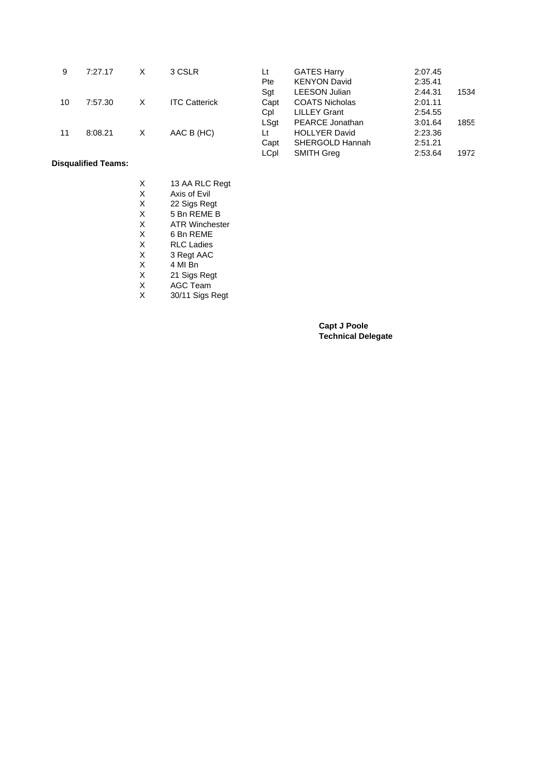| 9  | 7:27.17 | х | 3 CSLR               | Lt<br>Pte   | <b>GATES Harry</b><br><b>KENYON David</b> | 2:07.45<br>2:35.41 |      |
|----|---------|---|----------------------|-------------|-------------------------------------------|--------------------|------|
|    |         |   |                      | Sgt         | <b>LEESON Julian</b>                      | 2:44.31            | 1534 |
| 10 | 7:57.30 | х | <b>ITC Catterick</b> | Capt        | <b>COATS Nicholas</b>                     | 2:01.11            |      |
|    |         |   |                      | Cpl         | <b>LILLEY Grant</b>                       | 2:54.55            |      |
|    |         |   |                      | LSat        | <b>PEARCE Jonathan</b>                    | 3:01.64            | 1855 |
| 11 | 8:08.21 | х | AAC B (HC)           | Lt          | <b>HOLLYER David</b>                      | 2:23.36            |      |
|    |         |   |                      | Capt        | SHERGOLD Hannah                           | 2:51.21            |      |
|    |         |   |                      | <b>LCpl</b> | <b>SMITH Greg</b>                         | 2:53.64            | 1972 |

**Disqualified Teams:**

| x | 13 AA RLC Regt        |
|---|-----------------------|
| X | Axis of Fvil          |
| X | 22 Sigs Regt          |
| X | 5 Bn REME B           |
| X | <b>ATR Winchester</b> |
| X | 6 Bn REME             |
| X | <b>RLC Ladies</b>     |
| X | 3 Regt AAC            |
| X | 4 MI Bn               |
| X | 21 Sigs Regt          |
| X | <b>AGC Team</b>       |
| X | 30/11 Sigs Regt       |

**Capt J Poole Technical Delegate**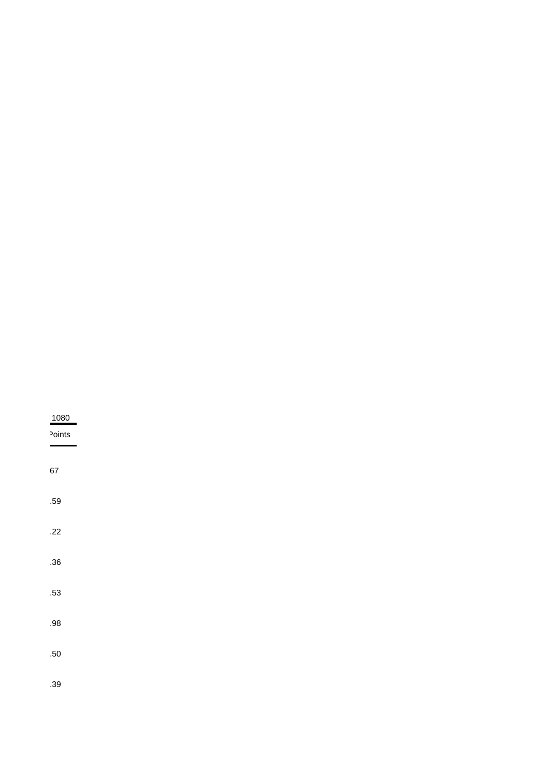| 1080               |  |  |  |
|--------------------|--|--|--|
| <sup>2</sup> oints |  |  |  |
|                    |  |  |  |
| 67                 |  |  |  |
| .59                |  |  |  |
|                    |  |  |  |
| .22                |  |  |  |
| .36                |  |  |  |
|                    |  |  |  |
| .53                |  |  |  |
| .98                |  |  |  |
|                    |  |  |  |
| .50                |  |  |  |
| .39                |  |  |  |